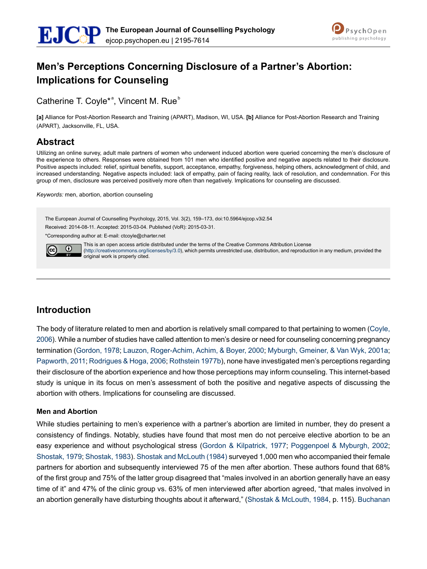



# **Men's Perceptions Concerning Disclosure of a Partner's Abortion: Implications for Counseling**

### Catherine T. Coyle<sup>\*</sup><sup>a</sup>, Vincent M. Rue<sup>b</sup>

**[a]** Alliance for Post-Abortion Research and Training (APART), Madison, WI, USA. **[b]** Alliance for Post-Abortion Research and Training (APART), Jacksonville, FL, USA.

## **Abstract**

Utilizing an online survey, adult male partners of women who underwent induced abortion were queried concerning the men's disclosure of the experience to others. Responses were obtained from 101 men who identified positive and negative aspects related to their disclosure. Positive aspects included: relief, spiritual benefits, support, acceptance, empathy, forgiveness, helping others, acknowledgment of child, and increased understanding. Negative aspects included: lack of empathy, pain of facing reality, lack of resolution, and condemnation. For this group of men, disclosure was perceived positively more often than negatively. Implications for counseling are discussed.

*Keywords:* men, abortion, abortion counseling

The European Journal of Counselling Psychology, 2015, Vol. 3(2), 159–173, doi:10.5964/ejcop.v3i2.54 Received: 2014-08-11. Accepted: 2015-03-04. Published (VoR): 2015-03-31.

\*Corresponding author at: E-mail: ctcoyle@charter.net



This is an open access article distributed under the terms of the Creative Commons Attribution License [\(http://creativecommons.org/licenses/by/3.0\)](http://creativecommons.org/licenses/by/3.0), which permits unrestricted use, distribution, and reproduction in any medium, provided the original work is properly cited.

# **Introduction**

The body of literature related to men and abortion is relatively small compared to that pertaining to women ([Coyle,](#page-10-0) [2006\)](#page-10-0). While a number of studies have called attention to men's desire or need for counseling concerning pregnancy termination [\(Gordon,](#page-11-0) 1978; Lauzon, [Roger-Achim,](#page-11-1) Achim, & Boyer, 2000; [Myburgh,](#page-12-0) Gmeiner, & Van Wyk, 2001a; Papworth, 2011; Rodrigues & Hoga, 2006; Rothstein 1977b), none have investigated men's perceptions regarding their disclosure of the abortion experience and how those perceptions may inform counseling. This internet-based study is unique in its focus on men's assessment of both the positive and negative aspects of discussing the abortion with others. Implications for counseling are discussed.

#### **Men and Abortion**

While studies pertaining to men's experience with a partner's abortion are limited in number, they do present a consistency of findings. Notably, studies have found that most men do not perceive elective abortion to be an easy experience and without psychological stress (Gordon & [Kilpatrick,](#page-11-2) 1977; [Poggenpoel](#page-13-2) & Myburgh, 2002; [Shostak,](#page-14-0) 1979; [Shostak,](#page-14-1) 1983). Shostak and [McLouth](#page-14-2) (1984) surveyed 1,000 men who accompanied their female partners for abortion and subsequently interviewed 75 of the men after abortion. These authors found that 68% of the first group and 75% of the latter group disagreed that "males involved in an abortion generally have an easy time of it" and 47% of the clinic group vs. 63% of men interviewed after abortion agreed, "that males involved in an abortion generally have disturbing thoughts about it afterward," (Shostak & [McLouth,](#page-14-2) 1984, p. 115). [Buchanan](#page-10-1)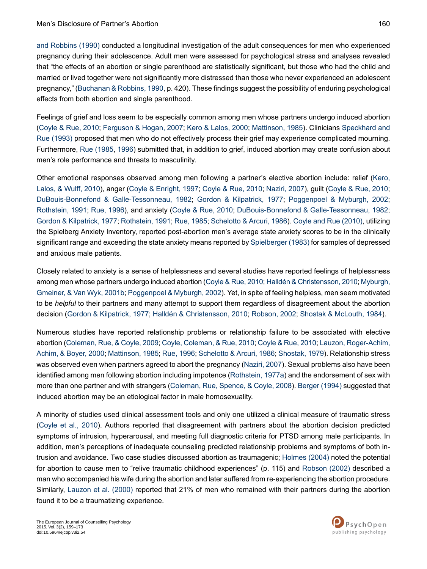and [Robbins](#page-10-1) (1990) conducted a longitudinal investigation of the adult consequences for men who experienced pregnancy during their adolescence. Adult men were assessed for psychological stress and analyses revealed that "the effects of an abortion or single parenthood are statistically significant, but those who had the child and married or lived together were not significantly more distressed than those who never experienced an adolescent pregnancy," (Buchanan & Robbins, 1990, p. 420). These findings suggest the possibility of enduring psychological effects from both abortion and single parenthood.

Feelings of grief and loss seem to be especially common among men whose partners undergo induced abortion [\(Coyle](#page-10-2) & Rue, 2010; [Ferguson](#page-10-3) & Hogan, 2007; Kero & [Lalos,](#page-11-3) 2000; [Mattinson,](#page-12-2) 1985). Clinicians [Speckhard](#page-14-3) and Rue [\(1993\)](#page-14-3) proposed that men who do not effectively process their grief may experience complicated mourning. Furthermore, Rue [\(1985](#page-13-3), [1996](#page-13-4)) submitted that, in addition to grief, induced abortion may create confusion about men's role performance and threats to masculinity.

Other emotional responses observed among men following a partner's elective abortion include: relief [\(Kero,](#page-11-4) [Lalos,](#page-11-4) & Wulff, 2010), anger (Coyle & [Enright,](#page-10-4) 1997; [Coyle](#page-10-2) & Rue, 2010; [Naziri,](#page-12-3) 2007), guilt ([Coyle](#page-10-2) & Rue, 2010; [DuBouis-Bonnefond](#page-10-5) & Galle-Tessonneau, 1982; Gordon & [Kilpatrick,](#page-11-2) 1977; [Poggenpoel](#page-13-2) & Myburgh, 2002; [Rothstein,](#page-13-5) 1991; Rue, [1996](#page-13-4)), and anxiety [\(Coyle](#page-10-2) & Rue, 2010; [DuBouis-Bonnefond](#page-10-5) & Galle-Tessonneau, 1982; Gordon & [Kilpatrick,](#page-11-2) 1977; [Rothstein,](#page-13-5) 1991; Rue, [1985](#page-13-3); [Schelotto](#page-13-6) & Arcuri, 1986). Coyle and Rue [\(2010\),](#page-10-2) utilizing the Spielberg Anxiety Inventory, reported post-abortion men's average state anxiety scores to be in the clinically significant range and exceeding the state anxiety means reported by [Spielberger](#page-14-4) (1983) for samples of depressed and anxious male patients.

Closely related to anxiety is a sense of helplessness and several studies have reported feelings of helplessness among men whose partners undergo induced abortion (Coyle & Rue, 2010; Halldén & Christensson, 2010; [Myburgh,](#page-12-4) [Gmeiner,](#page-12-4) & Van Wyk, 2001b; [Poggenpoel](#page-13-2) & Myburgh, 2002). Yet, in spite of feeling helpless, men seem motivated to be *helpful* to their partners and many attempt to support them regardless of disagreement about the abortion decision (Gordon & [Kilpatrick,](#page-11-2) 1977; Halldén & [Christensson,](#page-11-5) 2010; [Robson,](#page-13-7) 2002; Shostak & [McLouth,](#page-14-2) 1984).

Numerous studies have reported relationship problems or relationship failure to be associated with elective abortion [\(Coleman,](#page-10-6) Rue, & Coyle, 2009; Coyle, [Coleman,](#page-10-7) & Rue, 2010; [Coyle](#page-10-2) & Rue, 2010; Lauzon, [Roger-Achim,](#page-11-1) [Achim,](#page-11-1) & Boyer, 2000; [Mattinson,](#page-12-2) 1985; Rue, [1996](#page-13-4); [Schelotto](#page-13-6) & Arcuri, 1986; [Shostak,](#page-14-0) 1979). Relationship stress was observed even when partners agreed to abort the pregnancy [\(Naziri,](#page-12-3) 2007). Sexual problems also have been identified among men following abortion including impotence [\(Rothstein,](#page-13-8) 1977a) and the endorsement of sex with more than one partner and with strangers ([Coleman,](#page-10-8) Rue, Spence, & Coyle, 2008). [Berger](#page-9-0) (1994) suggested that induced abortion may be an etiological factor in male homosexuality.

A minority of studies used clinical assessment tools and only one utilized a clinical measure of traumatic stress [\(Coyle](#page-10-7) et al., 2010). Authors reported that disagreement with partners about the abortion decision predicted symptoms of intrusion, hyperarousal, and meeting full diagnostic criteria for PTSD among male participants. In addition, men's perceptions of inadequate counseling predicted relationship problems and symptoms of both intrusion and avoidance. Two case studies discussed abortion as traumagenic; [Holmes](#page-11-6) (2004) noted the potential for abortion to cause men to "relive traumatic childhood experiences" (p. 115) and [Robson](#page-13-7) (2002) described a man who accompanied his wife during the abortion and later suffered from re-experiencing the abortion procedure. Similarly, [Lauzon](#page-11-1) et al. (2000) reported that 21% of men who remained with their partners during the abortion found it to be a traumatizing experience.

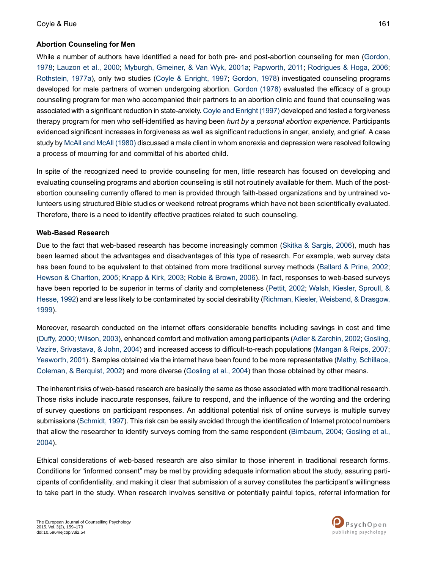### **Abortion Counseling for Men**

While a number of authors have identified a need for both pre- and post-abortion counseling for men [\(Gordon,](#page-11-0) [1978](#page-11-0); [Lauzon](#page-11-1) et al., 2000; [Myburgh,](#page-12-0) Gmeiner, & Van Wyk, 2001a; [Papworth,](#page-12-1) 2011; [Rodrigues](#page-13-0) & Hoga, 2006; [Rothstein,](#page-13-8) 1977a), only two studies (Coyle & [Enright,](#page-10-4) 1997; [Gordon,](#page-11-0) 1978) investigated counseling programs developed for male partners of women undergoing abortion. [Gordon](#page-11-0) (1978) evaluated the efficacy of a group counseling program for men who accompanied their partners to an abortion clinic and found that counseling was associated with a significant reduction in state-anxiety. Coyle and Enright (1997) developed and tested a forgiveness therapy program for men who self-identified as having been *hurt by a personal abortion experience*. Participants evidenced significant increases in forgiveness as well as significant reductions in anger, anxiety, and grief. A case study by McAll and McAll [\(1980\)](#page-12-5) discussed a male client in whom anorexia and depression were resolved following a process of mourning for and committal of his aborted child.

In spite of the recognized need to provide counseling for men, little research has focused on developing and evaluating counseling programs and abortion counseling is still not routinely available for them. Much of the postabortion counseling currently offered to men is provided through faith-based organizations and by untrained volunteers using structured Bible studies or weekend retreat programs which have not been scientifically evaluated. Therefore, there is a need to identify effective practices related to such counseling.

#### **Web-Based Research**

Due to the fact that web-based research has become increasingly common (Skitka & [Sargis,](#page-14-5) 2006), much has been learned about the advantages and disadvantages of this type of research. For example, web survey data has been found to be equivalent to that obtained from more traditional survey methods ([Ballard](#page-9-1) & Prine, 2002; Hewson & [Charlton,](#page-11-7) 2005; [Knapp](#page-11-8) & Kirk, 2003; Robie & [Brown,](#page-13-9) 2006). In fact, responses to web-based surveys have been reported to be superior in terms of clarity and completeness [\(Pettit,](#page-13-10) 2002; Walsh, Kiesler, [Sproull,](#page-14-6) & [Hesse,](#page-14-6) 1992) and are less likely to be contaminated by social desirability (Richman, Kiesler, [Weisband,](#page-13-11) & Drasgow, [1999](#page-13-11)).

Moreover, research conducted on the internet offers considerable benefits including savings in cost and time [\(Duffy,](#page-10-9) 2000; [Wilson,](#page-14-7) 2003), enhanced comfort and motivation among participants (Adler & [Zarchin,](#page-9-2) 2002; [Gosling,](#page-11-9) Vazire, [Srivastava,](#page-11-9) & John, 2004) and increased access to difficult-to-reach populations [\(Mangan](#page-12-6) & Reips, 2007; [Yeaworth,](#page-14-8) 2001). Samples obtained via the internet have been found to be more representative (Mathy, [Schillace,](#page-12-7) [Coleman,](#page-12-7) & Berquist, 2002) and more diverse ([Gosling](#page-11-9) et al., 2004) than those obtained by other means.

The inherent risks of web-based research are basically the same as those associated with more traditional research. Those risks include inaccurate responses, failure to respond, and the influence of the wording and the ordering of survey questions on participant responses. An additional potential risk of online surveys is multiple survey submissions ([Schmidt,](#page-13-12) 1997). This risk can be easily avoided through the identification of Internet protocol numbers that allow the researcher to identify surveys coming from the same respondent [\(Birnbaum,](#page-10-10) 2004; [Gosling](#page-11-9) et al., [2004](#page-11-9)).

Ethical considerations of web-based research are also similar to those inherent in traditional research forms. Conditions for "informed consent" may be met by providing adequate information about the study, assuring participants of confidentiality, and making it clear that submission of a survey constitutes the participant's willingness to take part in the study. When research involves sensitive or potentially painful topics, referral information for

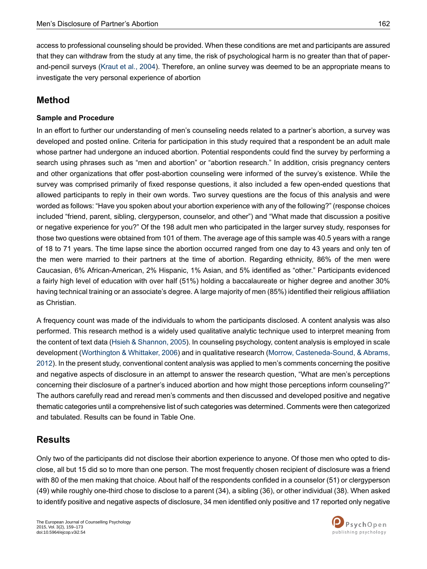access to professional counseling should be provided. When these conditions are met and participants are assured that they can withdraw from the study at any time, the risk of psychological harm is no greater than that of paperand-pencil surveys ([Kraut](#page-11-10) et al., 2004). Therefore, an online survey was deemed to be an appropriate means to investigate the very personal experience of abortion

# **Method**

### **Sample and Procedure**

In an effort to further our understanding of men's counseling needs related to a partner's abortion, a survey was developed and posted online. Criteria for participation in this study required that a respondent be an adult male whose partner had undergone an induced abortion. Potential respondents could find the survey by performing a search using phrases such as "men and abortion" or "abortion research." In addition, crisis pregnancy centers and other organizations that offer post-abortion counseling were informed of the survey's existence. While the survey was comprised primarily of fixed response questions, it also included a few open-ended questions that allowed participants to reply in their own words. Two survey questions are the focus of this analysis and were worded as follows: "Have you spoken about your abortion experience with any of the following?" (response choices included "friend, parent, sibling, clergyperson, counselor, and other") and "What made that discussion a positive or negative experience for you?" Of the 198 adult men who participated in the larger survey study, responses for those two questions were obtained from 101 of them. The average age of this sample was 40.5 years with a range of 18 to 71 years. The time lapse since the abortion occurred ranged from one day to 43 years and only ten of the men were married to their partners at the time of abortion. Regarding ethnicity, 86% of the men were Caucasian, 6% African-American, 2% Hispanic, 1% Asian, and 5% identified as "other." Participants evidenced a fairly high level of education with over half (51%) holding a baccalaureate or higher degree and another 30% having technical training or an associate's degree. A large majority of men (85%) identified their religious affiliation as Christian.

A frequency count was made of the individuals to whom the participants disclosed. A content analysis was also performed. This research method is a widely used qualitative analytic technique used to interpret meaning from the content of text data (Hsieh & [Shannon,](#page-11-11) 2005). In counseling psychology, content analysis is employed in scale development ([Worthington](#page-14-9) & Whittaker, 2006) and in qualitative research (Morrow, [Casteneda-Sound,](#page-12-8) & Abrams, [2012](#page-12-8)). In the present study, conventional content analysis was applied to men's comments concerning the positive and negative aspects of disclosure in an attempt to answer the research question, "What are men's perceptions concerning their disclosure of a partner's induced abortion and how might those perceptions inform counseling?" The authors carefully read and reread men's comments and then discussed and developed positive and negative thematic categories until a comprehensive list of such categories was determined. Comments were then categorized and tabulated. Results can be found in Table One.

### **Results**

Only two of the participants did not disclose their abortion experience to anyone. Of those men who opted to disclose, all but 15 did so to more than one person. The most frequently chosen recipient of disclosure was a friend with 80 of the men making that choice. About half of the respondents confided in a counselor (51) or clergyperson (49) while roughly one-third chose to disclose to a parent (34), a sibling (36), or other individual (38). When asked to identify positive and negative aspects of disclosure, 34 men identified only positive and 17 reported only negative

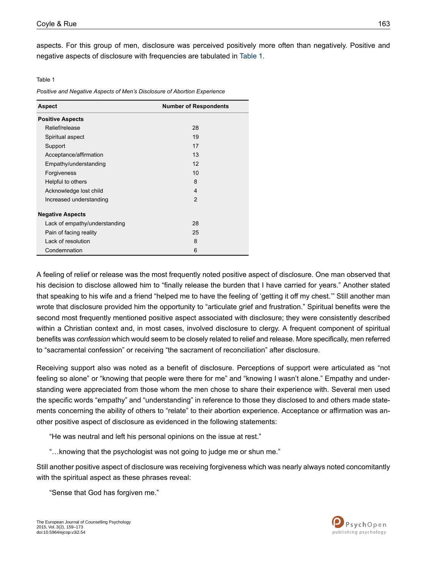aspects. For this group of men, disclosure was perceived positively more often than negatively. Positive and negative aspects of disclosure with frequencies are tabulated in [Table](#page-4-0) 1.

<span id="page-4-0"></span>Table 1

*Positive and Negative Aspects of Men's Disclosure of Abortion Experience*

| <b>Aspect</b>                 | <b>Number of Respondents</b> |
|-------------------------------|------------------------------|
| <b>Positive Aspects</b>       |                              |
| Relief/release                | 28                           |
| Spiritual aspect              | 19                           |
| Support                       | 17                           |
| Acceptance/affirmation        | 13                           |
| Empathy/understanding         | 12                           |
| Forgiveness                   | 10                           |
| Helpful to others             | 8                            |
| Acknowledge lost child        | 4                            |
| Increased understanding       | $\mathfrak{p}$               |
| <b>Negative Aspects</b>       |                              |
| Lack of empathy/understanding | 28                           |
| Pain of facing reality        | 25                           |
| Lack of resolution            | 8                            |
| Condemnation                  | 6                            |

A feeling of relief or release was the most frequently noted positive aspect of disclosure. One man observed that his decision to disclose allowed him to "finally release the burden that I have carried for years." Another stated that speaking to his wife and a friend "helped me to have the feeling of 'getting it off my chest.'" Still another man wrote that disclosure provided him the opportunity to "articulate grief and frustration." Spiritual benefits were the second most frequently mentioned positive aspect associated with disclosure; they were consistently described within a Christian context and, in most cases, involved disclosure to clergy. A frequent component of spiritual benefits was *confession* which would seem to be closely related to relief and release. More specifically, men referred to "sacramental confession" or receiving "the sacrament of reconciliation" after disclosure.

Receiving support also was noted as a benefit of disclosure. Perceptions of support were articulated as "not feeling so alone" or "knowing that people were there for me" and "knowing I wasn't alone." Empathy and understanding were appreciated from those whom the men chose to share their experience with. Several men used the specific words "empathy" and "understanding" in reference to those they disclosed to and others made statements concerning the ability of others to "relate" to their abortion experience. Acceptance or affirmation was another positive aspect of disclosure as evidenced in the following statements:

"He was neutral and left his personal opinions on the issue at rest."

"…knowing that the psychologist was not going to judge me or shun me."

Still another positive aspect of disclosure was receiving forgiveness which was nearly always noted concomitantly with the spiritual aspect as these phrases reveal:

"Sense that God has forgiven me."

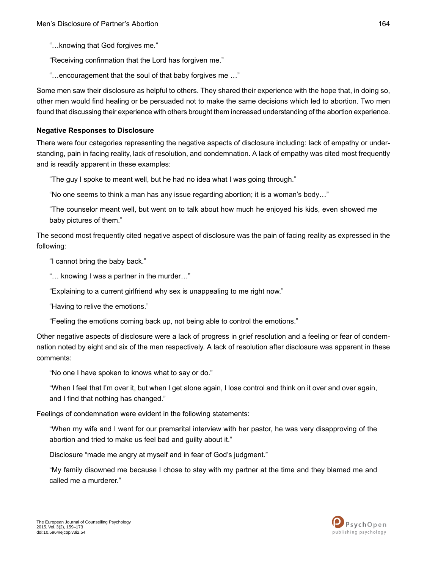"…knowing that God forgives me."

"Receiving confirmation that the Lord has forgiven me."

"…encouragement that the soul of that baby forgives me …"

Some men saw their disclosure as helpful to others. They shared their experience with the hope that, in doing so, other men would find healing or be persuaded not to make the same decisions which led to abortion. Two men found that discussing their experience with others brought them increased understanding of the abortion experience.

### **Negative Responses to Disclosure**

There were four categories representing the negative aspects of disclosure including: lack of empathy or understanding, pain in facing reality, lack of resolution, and condemnation. A lack of empathy was cited most frequently and is readily apparent in these examples:

"The guy I spoke to meant well, but he had no idea what I was going through."

"No one seems to think a man has any issue regarding abortion; it is a woman's body…"

"The counselor meant well, but went on to talk about how much he enjoyed his kids, even showed me baby pictures of them."

The second most frequently cited negative aspect of disclosure was the pain of facing reality as expressed in the following:

"I cannot bring the baby back."

"… knowing I was a partner in the murder…"

"Explaining to a current girlfriend why sex is unappealing to me right now."

"Having to relive the emotions."

"Feeling the emotions coming back up, not being able to control the emotions."

Other negative aspects of disclosure were a lack of progress in grief resolution and a feeling or fear of condemnation noted by eight and six of the men respectively. A lack of resolution after disclosure was apparent in these comments:

"No one I have spoken to knows what to say or do."

"When I feel that I'm over it, but when I get alone again, I lose control and think on it over and over again, and I find that nothing has changed."

Feelings of condemnation were evident in the following statements:

"When my wife and I went for our premarital interview with her pastor, he was very disapproving of the abortion and tried to make us feel bad and guilty about it."

Disclosure "made me angry at myself and in fear of God's judgment."

"My family disowned me because I chose to stay with my partner at the time and they blamed me and called me a murderer."

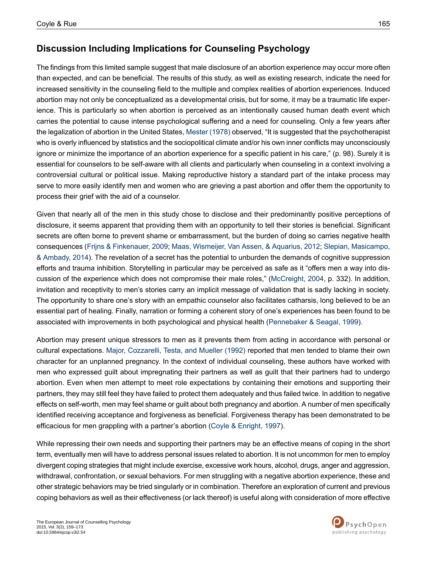# **Discussion Including Implications for Counseling Psychology**

The findings from this limited sample suggest that male disclosure of an abortion experience may occur more often than expected, and can be beneficial. The results of this study, as well as existing research, indicate the need for increased sensitivity in the counseling field to the multiple and complex realities of abortion experiences. Induced abortion may not only be conceptualized as a developmental crisis, but for some, it may be a traumatic life experience. This is particularly so when abortion is perceived as an intentionally caused human death event which carries the potential to cause intense psychological suffering and a need for counseling. Only a few years after the legalization of abortion in the United States, [Mester](#page-12-9) (1978) observed, "It is suggested that the psychotherapist who is overly influenced by statistics and the sociopolitical climate and/or his own inner conflicts may unconsciously ignore or minimize the importance of an abortion experience for a specific patient in his care," (p. 98). Surely it is essential for counselors to be self-aware with all clients and particularly when counseling in a context involving a controversial cultural or political issue. Making reproductive history a standard part of the intake process may serve to more easily identify men and women who are grieving a past abortion and offer them the opportunity to process their grief with the aid of a counselor.

Given that nearly all of the men in this study chose to disclose and their predominantly positive perceptions of disclosure, it seems apparent that providing them with an opportunity to tell their stories is beneficial. Significant secrets are often borne to prevent shame or embarrassment, but the burden of doing so carries negative health consequences (Frijns & [Finkenauer,](#page-11-12) 2009; Maas, [Wismeijer,](#page-11-13) Van Assen, & Aquarius, 2012; Slepian, [Masicampo,](#page-14-10) & [Ambady,](#page-14-10) 2014). The revelation of a secret has the potential to unburden the demands of cognitive suppression efforts and trauma inhibition. Storytelling in particular may be perceived as safe as it "offers men a way into discussion of the experience which does not compromise their male roles," [\(McCreight,](#page-12-10) 2004, p. 332). In addition, invitation and receptivity to men's stories carry an implicit message of validation that is sadly lacking in society. The opportunity to share one's story with an empathic counselor also facilitates catharsis, long believed to be an essential part of healing. Finally, narration or forming a coherent story of one's experiences has been found to be associated with improvements in both psychological and physical health ([Pennebaker](#page-13-13) & Seagal, 1999).

Abortion may present unique stressors to men as it prevents them from acting in accordance with personal or cultural expectations. Major, [Cozzarelli,](#page-12-11) Testa, and Mueller (1992) reported that men tended to blame their own character for an unplanned pregnancy. In the context of individual counseling, these authors have worked with men who expressed guilt about impregnating their partners as well as guilt that their partners had to undergo abortion. Even when men attempt to meet role expectations by containing their emotions and supporting their partners, they may still feel they have failed to protect them adequately and thus failed twice. In addition to negative effects on self-worth, men may feel shame or quilt about both pregnancy and abortion. A number of men specifically identified receiving acceptance and forgiveness as beneficial. Forgiveness therapy has been demonstrated to be efficacious for men grappling with a partner's abortion (Coyle & [Enright,](#page-10-4) 1997).

While repressing their own needs and supporting their partners may be an effective means of coping in the short term, eventually men will have to address personal issues related to abortion. It is not uncommon for men to employ divergent coping strategies that might include exercise, excessive work hours, alcohol, drugs, anger and aggression, withdrawal, confrontation, or sexual behaviors. For men struggling with a negative abortion experience, these and other strategic behaviors may be tried singularly or in combination. Therefore an exploration of current and previous coping behaviors as well as their effectiveness (or lack thereof) is useful along with consideration of more effective

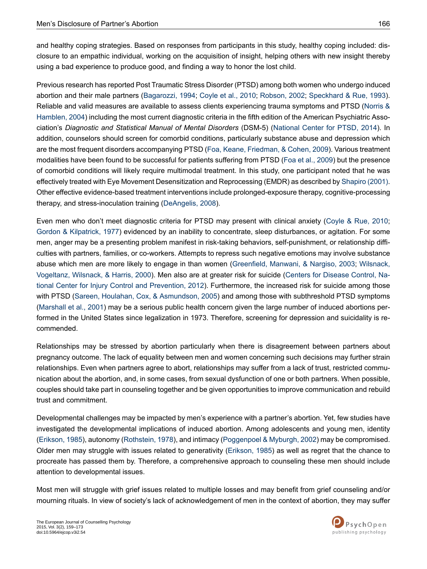and healthy coping strategies. Based on responses from participants in this study, healthy coping included: disclosure to an empathic individual, working on the acquisition of insight, helping others with new insight thereby using a bad experience to produce good, and finding a way to honor the lost child.

Previous research has reported Post Traumatic Stress Disorder (PTSD) among both women who undergo induced abortion and their male partners [\(Bagarozzi,](#page-9-3) 1994; [Coyle](#page-10-7) et al., 2010; [Robson,](#page-13-7) 2002; [Speckhard](#page-14-3) & Rue, 1993). Reliable and valid measures are available to assess clients experiencing trauma symptoms and PTSD [\(Norris](#page-12-12) & [Hamblen,](#page-12-12) 2004) including the most current diagnostic criteria in the fifth edition of the American Psychiatric Association's *Diagnostic and Statistical Manual of Mental Disorders* (DSM-5) [\(National](#page-12-13) Center for PTSD, 2014). In addition, counselors should screen for comorbid conditions, particularly substance abuse and depression which are the most frequent disorders accompanying PTSD (Foa, Keane, [Friedman,](#page-10-11) & Cohen, 2009). Various treatment modalities have been found to be successful for patients suffering from PTSD (Foa et al., [2009\)](#page-10-11) but the presence of comorbid conditions will likely require multimodal treatment. In this study, one participant noted that he was effectively treated with Eye Movement Desensitization and Reprocessing (EMDR) as described by [Shapiro](#page-14-11) (2001). Other effective evidence-based treatment interventions include prolonged-exposure therapy, cognitive-processing therapy, and stress-inoculation training [\(DeAngelis,](#page-10-12) 2008).

Even men who don't meet diagnostic criteria for PTSD may present with clinical anxiety ([Coyle](#page-10-2) & Rue, 2010; Gordon & [Kilpatrick,](#page-11-2) 1977) evidenced by an inability to concentrate, sleep disturbances, or agitation. For some men, anger may be a presenting problem manifest in risk-taking behaviors, self-punishment, or relationship difficulties with partners, families, or co-workers. Attempts to repress such negative emotions may involve substance abuse which men are more likely to engage in than women [\(Greenfield,](#page-11-14) Manwani, & Nargiso, 2003; [Wilsnack,](#page-14-12) [Vogeltanz,](#page-14-12) Wilsnack, & Harris, 2000). Men also are at greater risk for suicide (Centers for [Disease](#page-10-13) Control, National Center for Injury Control and [Prevention,](#page-10-13) 2012). Furthermore, the increased risk for suicide among those with PTSD (Sareen, Houlahan, Cox, & [Asmundson,](#page-13-14) 2005) and among those with subthreshold PTSD symptoms [\(Marshall](#page-12-14) et al., 2001) may be a serious public health concern given the large number of induced abortions performed in the United States since legalization in 1973. Therefore, screening for depression and suicidality is recommended.

Relationships may be stressed by abortion particularly when there is disagreement between partners about pregnancy outcome. The lack of equality between men and women concerning such decisions may further strain relationships. Even when partners agree to abort, relationships may suffer from a lack of trust, restricted communication about the abortion, and, in some cases, from sexual dysfunction of one or both partners. When possible, couples should take part in counseling together and be given opportunities to improve communication and rebuild trust and commitment.

Developmental challenges may be impacted by men's experience with a partner's abortion. Yet, few studies have investigated the developmental implications of induced abortion. Among adolescents and young men, identity [\(Erikson,](#page-10-14) 1985), autonomy ([Rothstein,](#page-13-15) 1978), and intimacy [\(Poggenpoel](#page-13-2) & Myburgh, 2002) may be compromised. Older men may struggle with issues related to generativity ([Erikson,](#page-10-14) 1985) as well as regret that the chance to procreate has passed them by. Therefore, a comprehensive approach to counseling these men should include attention to developmental issues.

Most men will struggle with grief issues related to multiple losses and may benefit from grief counseling and/or mourning rituals. In view of society's lack of acknowledgement of men in the context of abortion, they may suffer

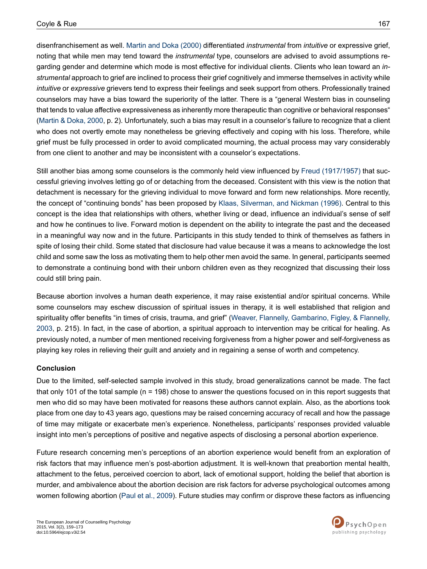disenfranchisement as well. Martin and Doka [\(2000\)](#page-12-15) differentiated *instrumental* from *intuitive* or expressive grief, noting that while men may tend toward the *instrumental* type, counselors are advised to avoid assumptions regarding gender and determine which mode is most effective for individual clients. Clients who lean toward an *in*strumental approach to grief are inclined to process their grief cognitively and immerse themselves in activity while *intuitive* or *expressive* grievers tend to express their feelings and seek support from others. Professionally trained counselors may have a bias toward the superiority of the latter. There is a "general Western bias in counseling that tends to value affective expressiveness as inherently more therapeutic than cognitive or behavioral responses" [\(Martin](#page-12-15) & Doka, 2000, p. 2). Unfortunately, such a bias may result in a counselor's failure to recognize that a client who does not overtly emote may nonetheless be grieving effectively and coping with his loss. Therefore, while grief must be fully processed in order to avoid complicated mourning, the actual process may vary considerably from one client to another and may be inconsistent with a counselor's expectations.

Still another bias among some counselors is the commonly held view influenced by Freud [\(1917/1957\)](#page-10-15) that successful grieving involves letting go of or detaching from the deceased. Consistent with this view is the notion that detachment is necessary for the grieving individual to move forward and form new relationships. More recently, the concept of "continuing bonds" has been proposed by Klaas, [Silverman,](#page-11-15) and Nickman (1996). Central to this concept is the idea that relationships with others, whether living or dead, influence an individual's sense of self and how he continues to live. Forward motion is dependent on the ability to integrate the past and the deceased in a meaningful way now and in the future. Participants in this study tended to think of themselves as fathers in spite of losing their child. Some stated that disclosure had value because it was a means to acknowledge the lost child and some saw the loss as motivating them to help other men avoid the same. In general, participants seemed to demonstrate a continuing bond with their unborn children even as they recognized that discussing their loss could still bring pain.

Because abortion involves a human death experience, it may raise existential and/or spiritual concerns. While some counselors may eschew discussion of spiritual issues in therapy, it is well established that religion and spirituality offer benefits "in times of crisis, trauma, and grief" (Weaver, Flannelly, [Gambarino,](#page-14-13) Figley, & Flannelly, [2003](#page-14-13), p. 215). In fact, in the case of abortion, a spiritual approach to intervention may be critical for healing. As previously noted, a number of men mentioned receiving forgiveness from a higher power and self-forgiveness as playing key roles in relieving their guilt and anxiety and in regaining a sense of worth and competency.

### **Conclusion**

Due to the limited, self-selected sample involved in this study, broad generalizations cannot be made. The fact that only 101 of the total sample (n = 198) chose to answer the questions focused on in this report suggests that men who did so may have been motivated for reasons these authors cannot explain. Also, as the abortions took place from one day to 43 years ago, questions may be raised concerning accuracy of recall and how the passage of time may mitigate or exacerbate men's experience. Nonetheless, participants' responses provided valuable insight into men's perceptions of positive and negative aspects of disclosing a personal abortion experience.

Future research concerning men's perceptions of an abortion experience would benefit from an exploration of risk factors that may influence men's post-abortion adjustment. It is well-known that preabortion mental health, attachment to the fetus, perceived coercion to abort, lack of emotional support, holding the belief that abortion is murder, and ambivalence about the abortion decision are risk factors for adverse psychological outcomes among women following abortion (Paul et al., [2009\)](#page-12-16). Future studies may confirm or disprove these factors as influencing

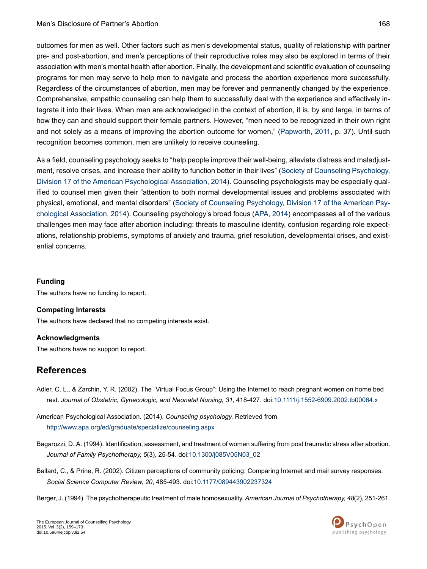outcomes for men as well. Other factors such as men's developmental status, quality of relationship with partner pre- and post-abortion, and men's perceptions of their reproductive roles may also be explored in terms of their association with men's mental health after abortion. Finally, the development and scientific evaluation of counseling programs for men may serve to help men to navigate and process the abortion experience more successfully. Regardless of the circumstances of abortion, men may be forever and permanently changed by the experience. Comprehensive, empathic counseling can help them to successfully deal with the experience and effectively integrate it into their lives. When men are acknowledged in the context of abortion, it is, by and large, in terms of how they can and should support their female partners. However, "men need to be recognized in their own right and not solely as a means of improving the abortion outcome for women," [\(Papworth,](#page-12-1) 2011, p. 37). Until such recognition becomes common, men are unlikely to receive counseling.

As a field, counseling psychology seeks to "help people improve their well-being, alleviate distress and maladjustment, resolve crises, and increase their ability to function better in their lives" (Society of Counseling [Psychology,](#page-14-14) Division 17 of the American [Psychological](#page-14-14) Association, 2014). Counseling psychologists may be especially qualified to counsel men given their "attention to both normal developmental issues and problems associated with physical, emotional, and mental disorders" (Society of Counseling [Psychology,](#page-14-14) Division 17 of the American Psychological [Association,](#page-14-14) 2014). Counseling psychology's broad focus [\(APA,](#page-9-4) 2014) encompasses all of the various challenges men may face after abortion including: threats to masculine identity, confusion regarding role expectations, relationship problems, symptoms of anxiety and trauma, grief resolution, developmental crises, and existential concerns.

#### **Funding**

The authors have no funding to report.

### **Competing Interests**

The authors have declared that no competing interests exist.

### **Acknowledgments**

<span id="page-9-2"></span>The authors have no support to report.

### <span id="page-9-4"></span>**References**

<span id="page-9-3"></span>Adler, C. L., & Zarchin, Y. R. (2002). The "Virtual Focus Group": Using the Internet to reach pregnant women on home bed rest. *Journal of Obstetric, Gynecologic, and Neonatal Nursing, 31*, 418-427. doi[:10.1111/j.1552-6909.2002.tb00064.x](http://dx.doi.org/10.1111/j.1552-6909.2002.tb00064.x)

<span id="page-9-1"></span>American Psychological Association. (2014). *Counseling psychology.* Retrieved from <http://www.apa.org/ed/graduate/specialize/counseling.aspx>

- <span id="page-9-0"></span>Bagarozzi, D. A. (1994). Identification, assessment, and treatment of women suffering from post traumatic stress after abortion. *Journal of Family Psychotherapy, 5*(3), 25-54. doi[:10.1300/j085V05N03\\_02](http://dx.doi.org/10.1300/j085V05N03_02)
- Ballard, C., & Prine, R. (2002). Citizen perceptions of community policing: Comparing Internet and mail survey responses. *Social Science Computer Review, 20*, 485-493. doi[:10.1177/089443902237324](http://dx.doi.org/10.1177/089443902237324)
- Berger, J. (1994). The psychotherapeutic treatment of male homosexuality. *American Journal of Psychotherapy, 48*(2), 251-261.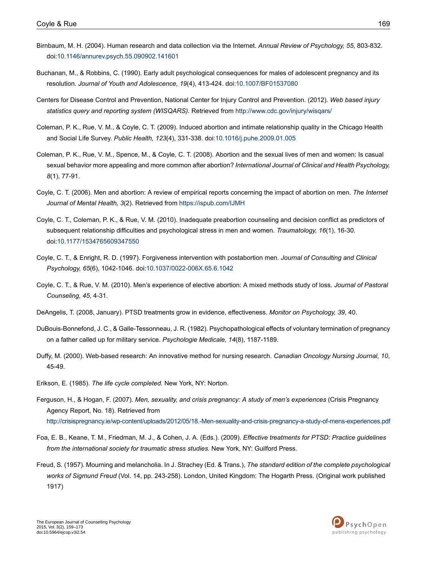- <span id="page-10-10"></span>Birnbaum, M. H. (2004). Human research and data collection via the Internet. *Annual Review of Psychology, 55*, 803-832. doi:[10.1146/annurev.psych.55.090902.141601](http://dx.doi.org/10.1146/annurev.psych.55.090902.141601)
- <span id="page-10-1"></span>Buchanan, M., & Robbins, C. (1990). Early adult psychological consequences for males of adolescent pregnancy and its resolution. *Journal of Youth and Adolescence, 19*(4), 413-424. doi[:10.1007/BF01537080](http://dx.doi.org/10.1007/BF01537080)
- <span id="page-10-13"></span><span id="page-10-6"></span>Centers for Disease Control and Prevention, National Center for Injury Control and Prevention. (2012). *Web based injury statistics query and reporting system (WISQARS).* Retrieved from <http://www.cdc.gov/injury/wisqars/>
- <span id="page-10-8"></span>Coleman, P. K., Rue, V. M., & Coyle, C. T. (2009). Induced abortion and intimate relationship quality in the Chicago Health and Social Life Survey. *Public Health, 123*(4), 331-338. doi[:10.1016/j.puhe.2009.01.005](http://dx.doi.org/10.1016/j.puhe.2009.01.005)
- <span id="page-10-0"></span>Coleman, P. K., Rue, V. M., Spence, M., & Coyle, C. T. (2008). Abortion and the sexual lives of men and women: Is casual sexual behavior more appealing and more common after abortion? *International Journal of Clinical and Health Psychology, 8*(1), 77-91.
- <span id="page-10-7"></span>Coyle, C. T. (2006). Men and abortion: A review of empirical reports concerning the impact of abortion on men. *The Internet Journal of Mental Health, 3*(2). Retrieved from <https://ispub.com/IJMH>
- <span id="page-10-4"></span>Coyle, C. T., Coleman, P. K., & Rue, V. M. (2010). Inadequate preabortion counseling and decision conflict as predictors of subsequent relationship difficulties and psychological stress in men and women. *Traumatology, 16*(1), 16-30. doi:[10.1177/1534765609347550](http://dx.doi.org/10.1177/1534765609347550)
- <span id="page-10-2"></span>Coyle, C. T., & Enright, R. D. (1997). Forgiveness intervention with postabortion men. *Journal of Consulting and Clinical Psychology, 65*(6), 1042-1046. doi[:10.1037/0022-006X.65.6.1042](http://dx.doi.org/10.1037/0022-006X.65.6.1042)
- <span id="page-10-12"></span><span id="page-10-5"></span>Coyle, C. T., & Rue, V. M. (2010). Men's experience of elective abortion: A mixed methods study of loss. *Journal of Pastoral Counseling, 45*, 4-31.
- <span id="page-10-9"></span>DeAngelis, T. (2008, January). PTSD treatments grow in evidence, effectiveness. *Monitor on Psychology, 39*, 40.
- DuBouis-Bonnefond, J. C., & Galle-Tessonneau, J. R. (1982). Psychopathological effects of voluntary termination of pregnancy on a father called up for military service. *Psychologie Medicale, 14*(8), 1187-1189.
- <span id="page-10-14"></span><span id="page-10-3"></span>Duffy, M. (2000). Web-based research: An innovative method for nursing research. *Canadian Oncology Nursing Journal, 10*, 45-49.
- Erikson, E. (1985). *The life cycle completed.* New York, NY: Norton.
- <span id="page-10-15"></span><span id="page-10-11"></span>Ferguson, H., & Hogan, F. (2007). *Men, sexuality, and crisis pregnancy: A study of men's experiences* (Crisis Pregnancy Agency Report, No. 18). Retrieved from <http://crisispregnancy.ie/wp-content/uploads/2012/05/18.-Men-sexuality-and-crisis-pregnancy-a-study-of-mens-experiences.pdf>
- Foa, E. B., Keane, T. M., Friedman, M. J., & Cohen, J. A. (Eds.). (2009). *Effective treatments for PTSD: Practice guidelines from the international society for traumatic stress studies.* New York, NY: Guilford Press.
- Freud, S. (1957). Mourning and melancholia. In J. Strachey (Ed. & Trans.), *The standard edition of the complete psychological works of Sigmund Freud* (Vol. 14, pp. 243-258). London, United Kingdom: The Hogarth Press. (Original work published 1917)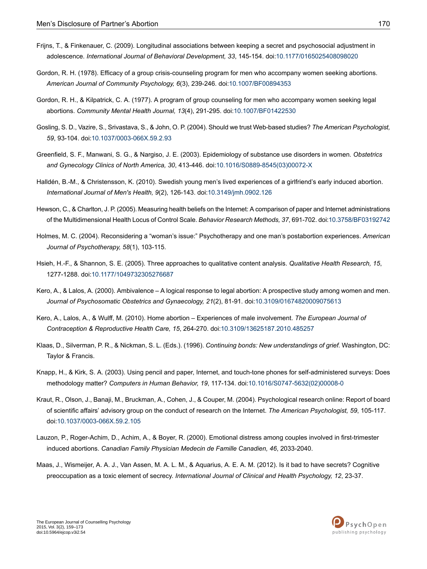- <span id="page-11-12"></span>Frijns, T., & Finkenauer, C. (2009). Longitudinal associations between keeping a secret and psychosocial adjustment in adolescence. *International Journal of Behavioral Development, 33*, 145-154. doi[:10.1177/0165025408098020](http://dx.doi.org/10.1177/0165025408098020)
- <span id="page-11-0"></span>Gordon, R. H. (1978). Efficacy of a group crisis-counseling program for men who accompany women seeking abortions. *American Journal of Community Psychology, 6*(3), 239-246. doi[:10.1007/BF00894353](http://dx.doi.org/10.1007/BF00894353)
- <span id="page-11-9"></span><span id="page-11-2"></span>Gordon, R. H., & Kilpatrick, C. A. (1977). A program of group counseling for men who accompany women seeking legal abortions. *Community Mental Health Journal, 13*(4), 291-295. doi[:10.1007/BF01422530](http://dx.doi.org/10.1007/BF01422530)
- <span id="page-11-14"></span>Gosling, S. D., Vazire, S., Srivastava, S., & John, O. P. (2004). Should we trust Web-based studies? *The American Psychologist, 59*, 93-104. doi:[10.1037/0003-066X.59.2.93](http://dx.doi.org/10.1037/0003-066X.59.2.93)
- <span id="page-11-5"></span>Greenfield, S. F., Manwani, S. G., & Nargiso, J. E. (2003). Epidemiology of substance use disorders in women. *Obstetrics and Gynecology Clinics of North America, 30*, 413-446. doi:[10.1016/S0889-8545\(03\)00072-X](http://dx.doi.org/10.1016/S0889-8545(03)00072-X)
- <span id="page-11-7"></span>Halldén, B.-M., & Christensson, K. (2010). Swedish young men's lived experiences of a girlfriend's early induced abortion. *International Journal of Men's Health, 9*(2), 126-143. doi:[10.3149/jmh.0902.126](http://dx.doi.org/10.3149/jmh.0902.126)
- <span id="page-11-6"></span>Hewson, C., & Charlton, J. P. (2005). Measuring health beliefs on the Internet: A comparison of paper and Internet administrations of the Multidimensional Health Locus of Control Scale. *Behavior Research Methods, 37*, 691-702. doi:[10.3758/BF03192742](http://dx.doi.org/10.3758/BF03192742)
- <span id="page-11-11"></span>Holmes, M. C. (2004). Reconsidering a "woman's issue:" Psychotherapy and one man's postabortion experiences. *American Journal of Psychotherapy, 58*(1), 103-115.
- <span id="page-11-3"></span>Hsieh, H.-F., & Shannon, S. E. (2005). Three approaches to qualitative content analysis. *Qualitative Health Research, 15*, 1277-1288. doi:[10.1177/1049732305276687](http://dx.doi.org/10.1177/1049732305276687)
- <span id="page-11-4"></span>Kero, A., & Lalos, A. (2000). Ambivalence – A logical response to legal abortion: A prospective study among women and men. *Journal of Psychosomatic Obstetrics and Gynaecology, 21*(2), 81-91. doi:[10.3109/01674820009075613](http://dx.doi.org/10.3109/01674820009075613)
- <span id="page-11-15"></span>Kero, A., Lalos, A., & Wulff, M. (2010). Home abortion – Experiences of male involvement. *The European Journal of Contraception & Reproductive Health Care, 15*, 264-270. doi[:10.3109/13625187.2010.485257](http://dx.doi.org/10.3109/13625187.2010.485257)
- <span id="page-11-10"></span><span id="page-11-8"></span>Klaas, D., Silverman, P. R., & Nickman, S. L. (Eds.). (1996). *Continuing bonds: New understandings of grief.* Washington, DC: Taylor & Francis.
- Knapp, H., & Kirk, S. A. (2003). Using pencil and paper, Internet, and touch-tone phones for self-administered surveys: Does methodology matter? *Computers in Human Behavior, 19*, 117-134. doi:[10.1016/S0747-5632\(02\)00008-0](http://dx.doi.org/10.1016/S0747-5632(02)00008-0)
- <span id="page-11-13"></span><span id="page-11-1"></span>Kraut, R., Olson, J., Banaji, M., Bruckman, A., Cohen, J., & Couper, M. (2004). Psychological research online: Report of board of scientific affairs' advisory group on the conduct of research on the Internet. *The American Psychologist, 59*, 105-117. doi:[10.1037/0003-066X.59.2.105](http://dx.doi.org/10.1037/0003-066X.59.2.105)
- Lauzon, P., Roger-Achim, D., Achim, A., & Boyer, R. (2000). Emotional distress among couples involved in first-trimester induced abortions. *Canadian Family Physician Medecin de Famille Canadien, 46*, 2033-2040.
- Maas, J., Wismeijer, A. A. J., Van Assen, M. A. L. M., & Aquarius, A. E. A. M. (2012). Is it bad to have secrets? Cognitive preoccupation as a toxic element of secrecy. *International Journal of Clinical and Health Psychology, 12*, 23-37.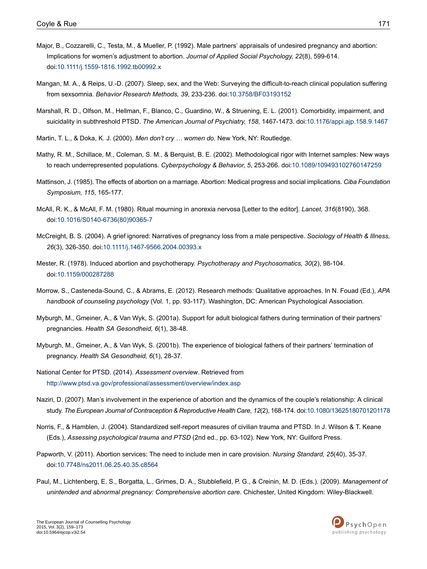- <span id="page-12-11"></span>Major, B., Cozzarelli, C., Testa, M., & Mueller, P. (1992). Male partners' appraisals of undesired pregnancy and abortion: Implications for women's adjustment to abortion. *Journal of Applied Social Psychology, 22*(8), 599-614. doi:[10.1111/j.1559-1816.1992.tb00992.x](http://dx.doi.org/10.1111/j.1559-1816.1992.tb00992.x)
- <span id="page-12-6"></span>Mangan, M. A., & Reips, U.-D. (2007). Sleep, sex, and the Web: Surveying the difficult-to-reach clinical population suffering from sexsomnia. *Behavior Research Methods, 39*, 233-236. doi:[10.3758/BF03193152](http://dx.doi.org/10.3758/BF03193152)
- <span id="page-12-15"></span><span id="page-12-14"></span>Marshall, R. D., Olfson, M., Hellman, F., Blanco, C., Guardino, W., & Struening, E. L. (2001). Comorbidity, impairment, and suicidality in subthreshold PTSD. *The American Journal of Psychiatry, 158*, 1467-1473. doi:[10.1176/appi.ajp.158.9.1467](http://dx.doi.org/10.1176/appi.ajp.158.9.1467)
- <span id="page-12-7"></span>Martin, T. L., & Doka, K. J. (2000). *Men don't cry … women do.* New York, NY: Routledge.
- <span id="page-12-2"></span>Mathy, R. M., Schillace, M., Coleman, S. M., & Berquist, B. E. (2002). Methodological rigor with Internet samples: New ways to reach underrepresented populations. *Cyberpsychology & Behavior, 5*, 253-266. doi[:10.1089/109493102760147259](http://dx.doi.org/10.1089/109493102760147259)
- <span id="page-12-5"></span>Mattinson, J. (1985). The effects of abortion on a marriage. Abortion: Medical progress and social implications. *Ciba Foundation Symposium, 115*, 165-177.
- <span id="page-12-10"></span>McAll, R. K., & McAll, F. M. (1980). Ritual mourning in anorexia nervosa [Letter to the editor]. *Lancet, 316*(8190), 368. doi:[10.1016/S0140-6736\(80\)90365-7](http://dx.doi.org/10.1016/S0140-6736(80)90365-7)
- <span id="page-12-9"></span>McCreight, B. S. (2004). A grief ignored: Narratives of pregnancy loss from a male perspective. *Sociology of Health & Illness, 26*(3), 326-350. doi:[10.1111/j.1467-9566.2004.00393.x](http://dx.doi.org/10.1111/j.1467-9566.2004.00393.x)
- <span id="page-12-8"></span>Mester, R. (1978). Induced abortion and psychotherapy. *Psychotherapy and Psychosomatics, 30*(2), 98-104. doi:[10.1159/000287288](http://dx.doi.org/10.1159/000287288)
- <span id="page-12-0"></span>Morrow, S., Casteneda-Sound, C., & Abrams, E. (2012). Research methods: Qualitative approaches. In N. Fouad (Ed.), *APA handbook of counseling psychology* (Vol. 1, pp. 93-117). Washington, DC: American Psychological Association.
- <span id="page-12-4"></span>Myburgh, M., Gmeiner, A., & Van Wyk, S. (2001a). Support for adult biological fathers during termination of their partners' pregnancies. *Health SA Gesondheid, 6*(1), 38-48.
- <span id="page-12-13"></span><span id="page-12-3"></span>Myburgh, M., Gmeiner, A., & Van Wyk, S. (2001b). The experience of biological fathers of their partners' termination of pregnancy. *Health SA Gesondheid, 6*(1), 28-37.
- <span id="page-12-12"></span>National Center for PTSD. (2014). *Assessment overview*. Retrieved from <http://www.ptsd.va.gov/professional/assessment/overview/index.asp>
- <span id="page-12-1"></span>Naziri, D. (2007). Man's involvement in the experience of abortion and the dynamics of the couple's relationship: A clinical study. *The European Journal of Contraception & Reproductive Health Care, 12*(2), 168-174. doi[:10.1080/13625180701201178](http://dx.doi.org/10.1080/13625180701201178)
- <span id="page-12-16"></span>Norris, F., & Hamblen, J. (2004). Standardized self-report measures of civilian trauma and PTSD. In J. Wilson & T. Keane (Eds.), *Assessing psychological trauma and PTSD* (2nd ed., pp. 63-102). New York, NY: Guilford Press.
- Papworth, V. (2011). Abortion services: The need to include men in care provision. *Nursing Standard, 25*(40), 35-37. doi:[10.7748/ns2011.06.25.40.35.c8564](http://dx.doi.org/10.7748/ns2011.06.25.40.35.c8564)
- Paul, M., Lichtenberg, E. S., Borgatta, L., Grimes, D. A., Stubblefield, P. G., & Creinin, M. D. (Eds.). (2009). *Management of unintended and abnormal pregnancy: Comprehensive abortion care.* Chichester, United Kingdom: Wiley-Blackwell.

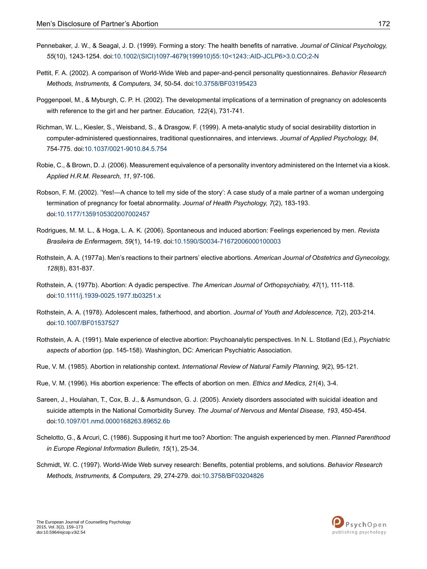- <span id="page-13-13"></span>Pennebaker, J. W., & Seagal, J. D. (1999). Forming a story: The health benefits of narrative. *Journal of Clinical Psychology, 55*(10), 1243-1254. doi:[10.1002/\(SICI\)1097-4679\(199910\)55:10<1243::AID-JCLP6>3.0.CO;2-N](http://dx.doi.org/10.1002/(SICI)1097-4679(199910)55:10<1243::AID-JCLP6>3.0.CO;2-N)
- <span id="page-13-10"></span>Pettit, F. A. (2002). A comparison of World-Wide Web and paper-and-pencil personality questionnaires. *Behavior Research Methods, Instruments, & Computers, 34*, 50-54. doi:[10.3758/BF03195423](http://dx.doi.org/10.3758/BF03195423)
- <span id="page-13-11"></span><span id="page-13-2"></span>Poggenpoel, M., & Myburgh, C. P. H. (2002). The developmental implications of a termination of pregnancy on adolescents with reference to the girl and her partner. *Education, 122*(4), 731-741.
- Richman, W. L., Kiesler, S., Weisband, S., & Drasgow, F. (1999). A meta-analytic study of social desirability distortion in computer-administered questionnaires, traditional questionnaires, and interviews. *Journal of Applied Psychology, 84*, 754-775. doi:[10.1037/0021-9010.84.5.754](http://dx.doi.org/10.1037/0021-9010.84.5.754)
- <span id="page-13-9"></span><span id="page-13-7"></span>Robie, C., & Brown, D. J. (2006). Measurement equivalence of a personality inventory administered on the Internet via a kiosk. *Applied H.R.M. Research, 11*, 97-106.
- <span id="page-13-0"></span>Robson, F. M. (2002). 'Yes!—A chance to tell my side of the story': A case study of a male partner of a woman undergoing termination of pregnancy for foetal abnormality. *Journal of Health Psychology, 7*(2), 183-193. doi:[10.1177/1359105302007002457](http://dx.doi.org/10.1177/1359105302007002457)
- <span id="page-13-8"></span>Rodrigues, M. M. L., & Hoga, L. A. K. (2006). Spontaneous and induced abortion: Feelings experienced by men. *Revista Brasileira de Enfermagem, 59*(1), 14-19. doi:[10.1590/S0034-71672006000100003](http://dx.doi.org/10.1590/S0034-71672006000100003)
- <span id="page-13-1"></span>Rothstein, A. A. (1977a). Men's reactions to their partners' elective abortions. *American Journal of Obstetrics and Gynecology, 128*(8), 831-837.
- <span id="page-13-15"></span>Rothstein, A. (1977b). Abortion: A dyadic perspective. *The American Journal of Orthopsychiatry, 47*(1), 111-118. doi:[10.1111/j.1939-0025.1977.tb03251.x](http://dx.doi.org/10.1111/j.1939-0025.1977.tb03251.x)
- <span id="page-13-5"></span>Rothstein, A. A. (1978). Adolescent males, fatherhood, and abortion. *Journal of Youth and Adolescence, 7*(2), 203-214. doi:[10.1007/BF01537527](http://dx.doi.org/10.1007/BF01537527)
- <span id="page-13-4"></span><span id="page-13-3"></span>Rothstein, A. A. (1991). Male experience of elective abortion: Psychoanalytic perspectives. In N. L. Stotland (Ed.), *Psychiatric aspects of abortion* (pp. 145-158). Washington, DC: American Psychiatric Association.
- <span id="page-13-14"></span>Rue, V. M. (1985). Abortion in relationship context. *International Review of Natural Family Planning, 9*(2), 95-121.
- Rue, V. M. (1996). His abortion experience: The effects of abortion on men. *Ethics and Medics, 21*(4), 3-4.
- <span id="page-13-12"></span><span id="page-13-6"></span>Sareen, J., Houlahan, T., Cox, B. J., & Asmundson, G. J. (2005). Anxiety disorders associated with suicidal ideation and suicide attempts in the National Comorbidity Survey. *The Journal of Nervous and Mental Disease, 193*, 450-454. doi:[10.1097/01.nmd.0000168263.89652.6b](http://dx.doi.org/10.1097/01.nmd.0000168263.89652.6b)
- Schelotto, G., & Arcuri, C. (1986). Supposing it hurt me too? Abortion: The anguish experienced by men. *Planned Parenthood in Europe Regional Information Bulletin, 15*(1), 25-34.
- Schmidt, W. C. (1997). World-Wide Web survey research: Benefits, potential problems, and solutions. *Behavior Research Methods, Instruments, & Computers, 29*, 274-279. doi:[10.3758/BF03204826](http://dx.doi.org/10.3758/BF03204826)